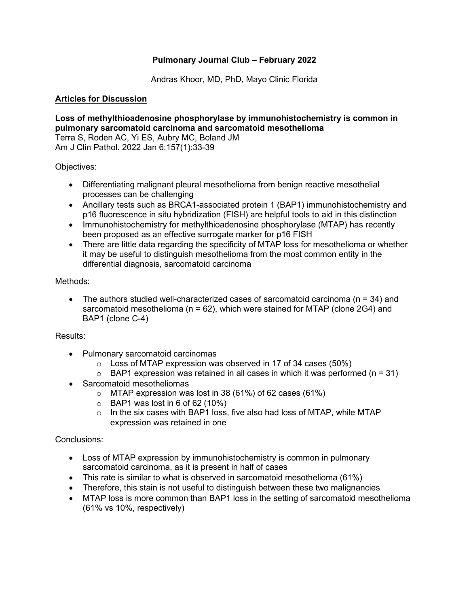## **Pulmonary Journal Club – February 2022**

Andras Khoor, MD, PhD, Mayo Clinic Florida

# **Articles for Discussion**

## **Loss of methylthioadenosine phosphorylase by immunohistochemistry is common in pulmonary sarcomatoid carcinoma and sarcomatoid mesothelioma**

Terra S, Roden AC, Yi ES, Aubry MC, Boland JM Am J Clin Pathol. 2022 Jan 6;157(1):33-39

Objectives:

- Differentiating malignant pleural mesothelioma from benign reactive mesothelial processes can be challenging
- Ancillary tests such as BRCA1-associated protein 1 (BAP1) immunohistochemistry and p16 fluorescence in situ hybridization (FISH) are helpful tools to aid in this distinction
- Immunohistochemistry for methylthioadenosine phosphorylase (MTAP) has recently been proposed as an effective surrogate marker for p16 FISH
- There are little data regarding the specificity of MTAP loss for mesothelioma or whether it may be useful to distinguish mesothelioma from the most common entity in the differential diagnosis, sarcomatoid carcinoma

#### Methods:

The authors studied well-characterized cases of sarcomatoid carcinoma ( $n = 34$ ) and sarcomatoid mesothelioma ( $n = 62$ ), which were stained for MTAP (clone 2G4) and BAP1 (clone C-4)

## Results:

- Pulmonary sarcomatoid carcinomas
	- $\circ$  Loss of MTAP expression was observed in 17 of 34 cases (50%)
	- $\circ$  BAP1 expression was retained in all cases in which it was performed (n = 31)
- Sarcomatoid mesotheliomas
	- o MTAP expression was lost in 38 (61%) of 62 cases (61%)
	- $\circ$  BAP1 was lost in 6 of 62 (10%)
	- o In the six cases with BAP1 loss, five also had loss of MTAP, while MTAP expression was retained in one

- Loss of MTAP expression by immunohistochemistry is common in pulmonary sarcomatoid carcinoma, as it is present in half of cases
- This rate is similar to what is observed in sarcomatoid mesothelioma (61%)
- Therefore, this stain is not useful to distinguish between these two malignancies
- MTAP loss is more common than BAP1 loss in the setting of sarcomatoid mesothelioma (61% vs 10%, respectively)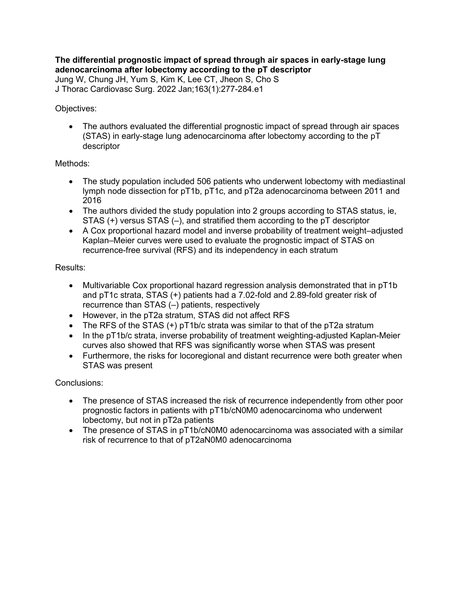**The differential prognostic impact of spread through air spaces in early-stage lung adenocarcinoma after lobectomy according to the pT descriptor** Jung W, Chung JH, Yum S, Kim K, Lee CT, Jheon S, Cho S

J Thorac Cardiovasc Surg. 2022 Jan;163(1):277-284.e1

## Objectives:

• The authors evaluated the differential prognostic impact of spread through air spaces (STAS) in early-stage lung adenocarcinoma after lobectomy according to the pT descriptor

# Methods:

- The study population included 506 patients who underwent lobectomy with mediastinal lymph node dissection for pT1b, pT1c, and pT2a adenocarcinoma between 2011 and 2016
- The authors divided the study population into 2 groups according to STAS status, ie, STAS (+) versus STAS (–), and stratified them according to the pT descriptor
- A Cox proportional hazard model and inverse probability of treatment weight–adjusted Kaplan–Meier curves were used to evaluate the prognostic impact of STAS on recurrence-free survival (RFS) and its independency in each stratum

# Results:

- Multivariable Cox proportional hazard regression analysis demonstrated that in pT1b and pT1c strata, STAS (+) patients had a 7.02-fold and 2.89-fold greater risk of recurrence than STAS (–) patients, respectively
- However, in the pT2a stratum, STAS did not affect RFS
- The RFS of the STAS (+) pT1b/c strata was similar to that of the pT2a stratum
- In the pT1b/c strata, inverse probability of treatment weighting-adjusted Kaplan-Meier curves also showed that RFS was significantly worse when STAS was present
- Furthermore, the risks for locoregional and distant recurrence were both greater when STAS was present

- The presence of STAS increased the risk of recurrence independently from other poor prognostic factors in patients with pT1b/cN0M0 adenocarcinoma who underwent lobectomy, but not in pT2a patients
- The presence of STAS in pT1b/cN0M0 adenocarcinoma was associated with a similar risk of recurrence to that of pT2aN0M0 adenocarcinoma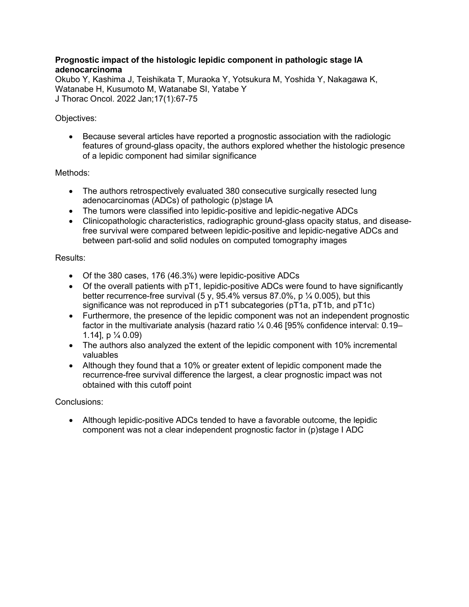## **Prognostic impact of the histologic lepidic component in pathologic stage IA adenocarcinoma**

Okubo Y, Kashima J, Teishikata T, Muraoka Y, Yotsukura M, Yoshida Y, Nakagawa K, Watanabe H, Kusumoto M, Watanabe SI, Yatabe Y J Thorac Oncol. 2022 Jan;17(1):67-75

# Objectives:

• Because several articles have reported a prognostic association with the radiologic features of ground-glass opacity, the authors explored whether the histologic presence of a lepidic component had similar significance

# Methods:

- The authors retrospectively evaluated 380 consecutive surgically resected lung adenocarcinomas (ADCs) of pathologic (p)stage IA
- The tumors were classified into lepidic-positive and lepidic-negative ADCs
- Clinicopathologic characteristics, radiographic ground-glass opacity status, and diseasefree survival were compared between lepidic-positive and lepidic-negative ADCs and between part-solid and solid nodules on computed tomography images

## Results:

- Of the 380 cases, 176 (46.3%) were lepidic-positive ADCs
- Of the overall patients with pT1, lepidic-positive ADCs were found to have significantly better recurrence-free survival (5 y, 95.4% versus 87.0%, p  $\frac{1}{4}$  0.005), but this significance was not reproduced in pT1 subcategories (pT1a, pT1b, and pT1c)
- Furthermore, the presence of the lepidic component was not an independent prognostic factor in the multivariate analysis (hazard ratio ¼ 0.46 [95% confidence interval: 0.19– 1.14], p  $\frac{1}{4}$  0.09)
- The authors also analyzed the extent of the lepidic component with 10% incremental valuables
- Although they found that a 10% or greater extent of lepidic component made the recurrence-free survival difference the largest, a clear prognostic impact was not obtained with this cutoff point

## Conclusions:

• Although lepidic-positive ADCs tended to have a favorable outcome, the lepidic component was not a clear independent prognostic factor in (p)stage I ADC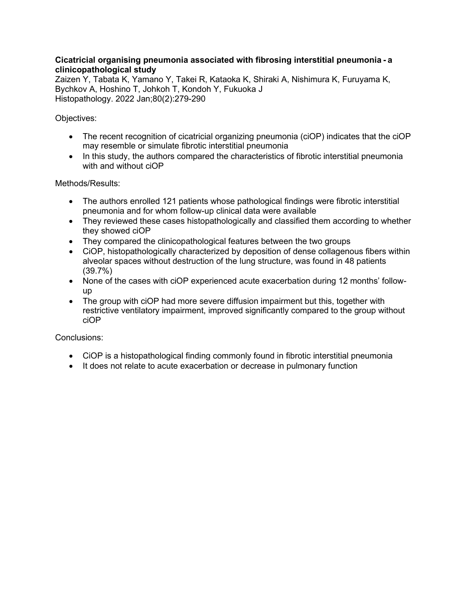## **Cicatricial organising pneumonia associated with fibrosing interstitial pneumonia - a clinicopathological study**

Zaizen Y, Tabata K, Yamano Y, Takei R, Kataoka K, Shiraki A, Nishimura K, Furuyama K, Bychkov A, Hoshino T, Johkoh T, Kondoh Y, Fukuoka J Histopathology. 2022 Jan;80(2):279-290

Objectives:

- The recent recognition of cicatricial organizing pneumonia (ciOP) indicates that the ciOP may resemble or simulate fibrotic interstitial pneumonia
- In this study, the authors compared the characteristics of fibrotic interstitial pneumonia with and without ciOP

Methods/Results:

- The authors enrolled 121 patients whose pathological findings were fibrotic interstitial pneumonia and for whom follow-up clinical data were available
- They reviewed these cases histopathologically and classified them according to whether they showed ciOP
- They compared the clinicopathological features between the two groups
- CiOP, histopathologically characterized by deposition of dense collagenous fibers within alveolar spaces without destruction of the lung structure, was found in 48 patients (39.7%)
- None of the cases with ciOP experienced acute exacerbation during 12 months' followup
- The group with ciOP had more severe diffusion impairment but this, together with restrictive ventilatory impairment, improved significantly compared to the group without ciOP

- CiOP is a histopathological finding commonly found in fibrotic interstitial pneumonia
- It does not relate to acute exacerbation or decrease in pulmonary function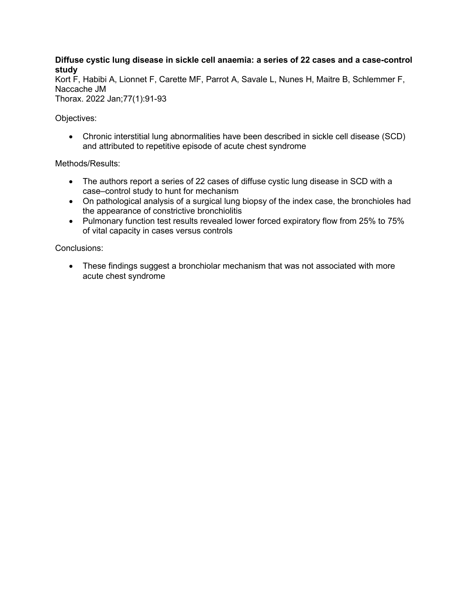## **Diffuse cystic lung disease in sickle cell anaemia: a series of 22 cases and a case-control study**

Kort F, Habibi A, Lionnet F, Carette MF, Parrot A, Savale L, Nunes H, Maitre B, Schlemmer F, Naccache JM

Thorax. 2022 Jan;77(1):91-93

Objectives:

• Chronic interstitial lung abnormalities have been described in sickle cell disease (SCD) and attributed to repetitive episode of acute chest syndrome

Methods/Results:

- The authors report a series of 22 cases of diffuse cystic lung disease in SCD with a case–control study to hunt for mechanism
- On pathological analysis of a surgical lung biopsy of the index case, the bronchioles had the appearance of constrictive bronchiolitis
- Pulmonary function test results revealed lower forced expiratory flow from 25% to 75% of vital capacity in cases versus controls

Conclusions:

• These findings suggest a bronchiolar mechanism that was not associated with more acute chest syndrome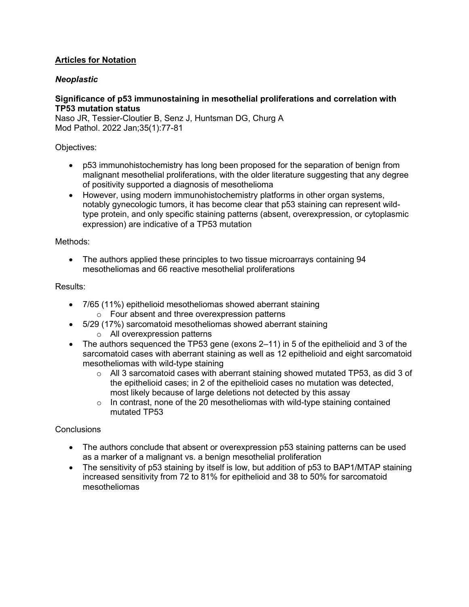# **Articles for Notation**

# *Neoplastic*

## **Significance of p53 immunostaining in mesothelial proliferations and correlation with TP53 mutation status**

Naso JR, Tessier-Cloutier B, Senz J, Huntsman DG, Churg A Mod Pathol. 2022 Jan;35(1):77-81

## Objectives:

- p53 immunohistochemistry has long been proposed for the separation of benign from malignant mesothelial proliferations, with the older literature suggesting that any degree of positivity supported a diagnosis of mesothelioma
- However, using modern immunohistochemistry platforms in other organ systems, notably gynecologic tumors, it has become clear that p53 staining can represent wildtype protein, and only specific staining patterns (absent, overexpression, or cytoplasmic expression) are indicative of a TP53 mutation

#### Methods:

• The authors applied these principles to two tissue microarrays containing 94 mesotheliomas and 66 reactive mesothelial proliferations

#### Results:

- 7/65 (11%) epithelioid mesotheliomas showed aberrant staining o Four absent and three overexpression patterns
- 5/29 (17%) sarcomatoid mesotheliomas showed aberrant staining
	- o All overexpression patterns
- The authors sequenced the TP53 gene (exons 2–11) in 5 of the epithelioid and 3 of the sarcomatoid cases with aberrant staining as well as 12 epithelioid and eight sarcomatoid mesotheliomas with wild-type staining
	- $\circ$  All 3 sarcomatoid cases with aberrant staining showed mutated TP53, as did 3 of the epithelioid cases; in 2 of the epithelioid cases no mutation was detected, most likely because of large deletions not detected by this assay
	- $\circ$  In contrast, none of the 20 mesotheliomas with wild-type staining contained mutated TP53

- The authors conclude that absent or overexpression p53 staining patterns can be used as a marker of a malignant vs. a benign mesothelial proliferation
- The sensitivity of p53 staining by itself is low, but addition of p53 to BAP1/MTAP staining increased sensitivity from 72 to 81% for epithelioid and 38 to 50% for sarcomatoid mesotheliomas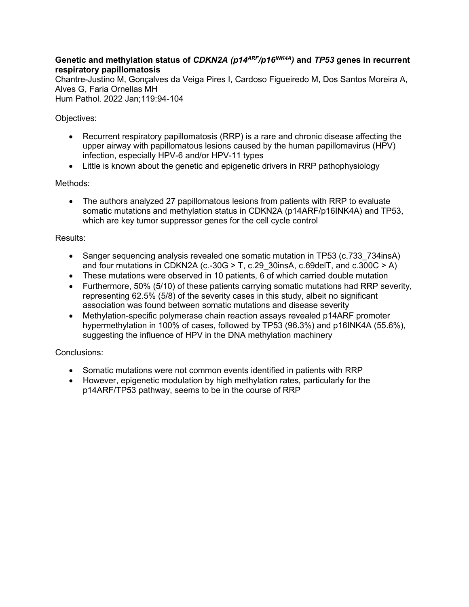# **Genetic and methylation status of** *CDKN2A (p14ARF/p16INK4A)* **and** *TP53* **genes in recurrent respiratory papillomatosis**

Chantre-Justino M, Gonçalves da Veiga Pires I, Cardoso Figueiredo M, Dos Santos Moreira A, Alves G, Faria Ornellas MH Hum Pathol. 2022 Jan;119:94-104

Objectives:

- Recurrent respiratory papillomatosis (RRP) is a rare and chronic disease affecting the upper airway with papillomatous lesions caused by the human papillomavirus (HPV) infection, especially HPV-6 and/or HPV-11 types
- Little is known about the genetic and epigenetic drivers in RRP pathophysiology

Methods:

• The authors analyzed 27 papillomatous lesions from patients with RRP to evaluate somatic mutations and methylation status in CDKN2A (p14ARF/p16INK4A) and TP53, which are key tumor suppressor genes for the cell cycle control

Results:

- Sanger sequencing analysis revealed one somatic mutation in TP53 (c.733 734insA) and four mutations in CDKN2A (c.-30G  $>$  T, c.29 30insA, c.69delT, and c.300C  $>$  A)
- These mutations were observed in 10 patients, 6 of which carried double mutation
- Furthermore, 50% (5/10) of these patients carrying somatic mutations had RRP severity, representing 62.5% (5/8) of the severity cases in this study, albeit no significant association was found between somatic mutations and disease severity
- Methylation-specific polymerase chain reaction assays revealed p14ARF promoter hypermethylation in 100% of cases, followed by TP53 (96.3%) and p16INK4A (55.6%), suggesting the influence of HPV in the DNA methylation machinery

- Somatic mutations were not common events identified in patients with RRP
- However, epigenetic modulation by high methylation rates, particularly for the p14ARF/TP53 pathway, seems to be in the course of RRP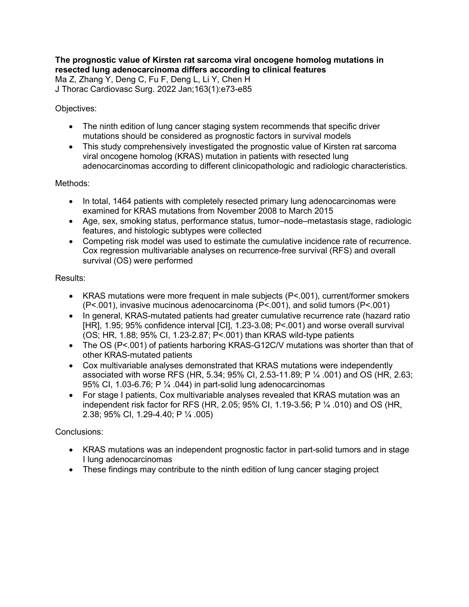#### **The prognostic value of Kirsten rat sarcoma viral oncogene homolog mutations in resected lung adenocarcinoma differs according to clinical features** Ma Z, Zhang Y, Deng C, Fu F, Deng L, Li Y, Chen H J Thorac Cardiovasc Surg. 2022 Jan;163(1):e73-e85

## Objectives:

- The ninth edition of lung cancer staging system recommends that specific driver mutations should be considered as prognostic factors in survival models
- This study comprehensively investigated the prognostic value of Kirsten rat sarcoma viral oncogene homolog (KRAS) mutation in patients with resected lung adenocarcinomas according to different clinicopathologic and radiologic characteristics.

# Methods:

- In total, 1464 patients with completely resected primary lung adenocarcinomas were examined for KRAS mutations from November 2008 to March 2015
- Age, sex, smoking status, performance status, tumor–node–metastasis stage, radiologic features, and histologic subtypes were collected
- Competing risk model was used to estimate the cumulative incidence rate of recurrence. Cox regression multivariable analyses on recurrence-free survival (RFS) and overall survival (OS) were performed

# Results:

- KRAS mutations were more frequent in male subjects (P<.001), current/former smokers (P<.001), invasive mucinous adenocarcinoma (P<.001), and solid tumors (P<.001)
- In general, KRAS-mutated patients had greater cumulative recurrence rate (hazard ratio [HR], 1.95; 95% confidence interval [CI], 1.23-3.08; P<.001) and worse overall survival (OS; HR, 1.88; 95% CI, 1.23-2.87; P<.001) than KRAS wild-type patients
- The OS (P<.001) of patients harboring KRAS-G12C/V mutations was shorter than that of other KRAS-mutated patients
- Cox multivariable analyses demonstrated that KRAS mutations were independently associated with worse RFS (HR, 5.34; 95% CI, 2.53-11.89; P ¼ .001) and OS (HR, 2.63; 95% CI, 1.03-6.76; P  $\frac{1}{4}$ .044) in part-solid lung adenocarcinomas
- For stage I patients, Cox multivariable analyses revealed that KRAS mutation was an independent risk factor for RFS (HR, 2.05; 95% CI, 1.19-3.56; P ¼ .010) and OS (HR, 2.38; 95% CI, 1.29-4.40; P ¼ .005)

- KRAS mutations was an independent prognostic factor in part-solid tumors and in stage I lung adenocarcinomas
- These findings may contribute to the ninth edition of lung cancer staging project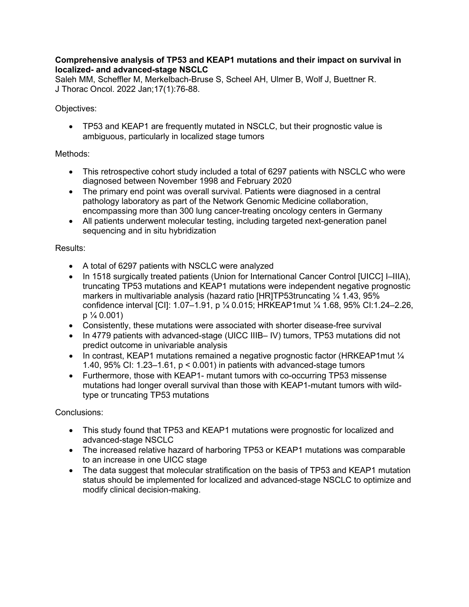## **Comprehensive analysis of TP53 and KEAP1 mutations and their impact on survival in localized- and advanced-stage NSCLC**

Saleh MM, Scheffler M, Merkelbach-Bruse S, Scheel AH, Ulmer B, Wolf J, Buettner R. J Thorac Oncol. 2022 Jan;17(1):76-88.

# Objectives:

• TP53 and KEAP1 are frequently mutated in NSCLC, but their prognostic value is ambiguous, particularly in localized stage tumors

# Methods:

- This retrospective cohort study included a total of 6297 patients with NSCLC who were diagnosed between November 1998 and February 2020
- The primary end point was overall survival. Patients were diagnosed in a central pathology laboratory as part of the Network Genomic Medicine collaboration, encompassing more than 300 lung cancer-treating oncology centers in Germany
- All patients underwent molecular testing, including targeted next-generation panel sequencing and in situ hybridization

# Results:

- A total of 6297 patients with NSCLC were analyzed
- In 1518 surgically treated patients (Union for International Cancer Control [UICC] I–IIIA), truncating TP53 mutations and KEAP1 mutations were independent negative prognostic markers in multivariable analysis (hazard ratio [HR]TP53truncating ¼ 1.43, 95% confidence interval [CI]: 1.07–1.91, p ¼ 0.015; HRKEAP1mut ¼ 1.68, 95% CI:1.24–2.26,  $p \frac{1}{4} 0.001$
- Consistently, these mutations were associated with shorter disease-free survival
- In 4779 patients with advanced-stage (UICC IIIB– IV) tumors, TP53 mutations did not predict outcome in univariable analysis
- In contrast, KEAP1 mutations remained a negative prognostic factor (HRKEAP1mut 1/4 1.40, 95% CI: 1.23–1.61, p < 0.001) in patients with advanced-stage tumors
- Furthermore, those with KEAP1- mutant tumors with co-occurring TP53 missense mutations had longer overall survival than those with KEAP1-mutant tumors with wildtype or truncating TP53 mutations

- This study found that TP53 and KEAP1 mutations were prognostic for localized and advanced-stage NSCLC
- The increased relative hazard of harboring TP53 or KEAP1 mutations was comparable to an increase in one UICC stage
- The data suggest that molecular stratification on the basis of TP53 and KEAP1 mutation status should be implemented for localized and advanced-stage NSCLC to optimize and modify clinical decision-making.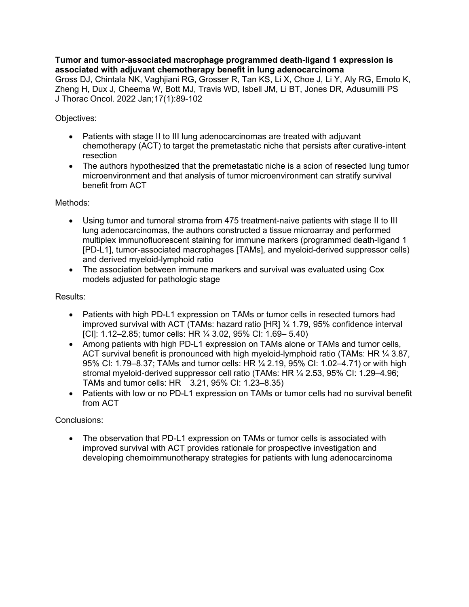**Tumor and tumor-associated macrophage programmed death-ligand 1 expression is associated with adjuvant chemotherapy benefit in lung adenocarcinoma** Gross DJ, Chintala NK, Vaghjiani RG, Grosser R, Tan KS, Li X, Choe J, Li Y, Aly RG, Emoto K, Zheng H, Dux J, Cheema W, Bott MJ, Travis WD, Isbell JM, Li BT, Jones DR, Adusumilli PS J Thorac Oncol. 2022 Jan;17(1):89-102

Objectives:

- Patients with stage II to III lung adenocarcinomas are treated with adjuvant chemotherapy (ACT) to target the premetastatic niche that persists after curative-intent resection
- The authors hypothesized that the premetastatic niche is a scion of resected lung tumor microenvironment and that analysis of tumor microenvironment can stratify survival benefit from ACT

Methods:

- Using tumor and tumoral stroma from 475 treatment-naive patients with stage II to III lung adenocarcinomas, the authors constructed a tissue microarray and performed multiplex immunofluorescent staining for immune markers (programmed death-ligand 1 [PD-L1], tumor-associated macrophages [TAMs], and myeloid-derived suppressor cells) and derived myeloid-lymphoid ratio
- The association between immune markers and survival was evaluated using Cox models adjusted for pathologic stage

#### Results:

- Patients with high PD-L1 expression on TAMs or tumor cells in resected tumors had improved survival with ACT (TAMs: hazard ratio [HR] ¼ 1.79, 95% confidence interval [CI]: 1.12–2.85; tumor cells: HR ¼ 3.02, 95% CI: 1.69– 5.40)
- Among patients with high PD-L1 expression on TAMs alone or TAMs and tumor cells, ACT survival benefit is pronounced with high myeloid-lymphoid ratio (TAMs: HR  $\frac{1}{4}$  3.87, 95% CI: 1.79–8.37; TAMs and tumor cells: HR ¼ 2.19, 95% CI: 1.02–4.71) or with high stromal myeloid-derived suppressor cell ratio (TAMs: HR ¼ 2.53, 95% CI: 1.29–4.96; TAMs and tumor cells: HR 3.21, 95% CI: 1.23–8.35)
- Patients with low or no PD-L1 expression on TAMs or tumor cells had no survival benefit from ACT

Conclusions:

• The observation that PD-L1 expression on TAMs or tumor cells is associated with improved survival with ACT provides rationale for prospective investigation and developing chemoimmunotherapy strategies for patients with lung adenocarcinoma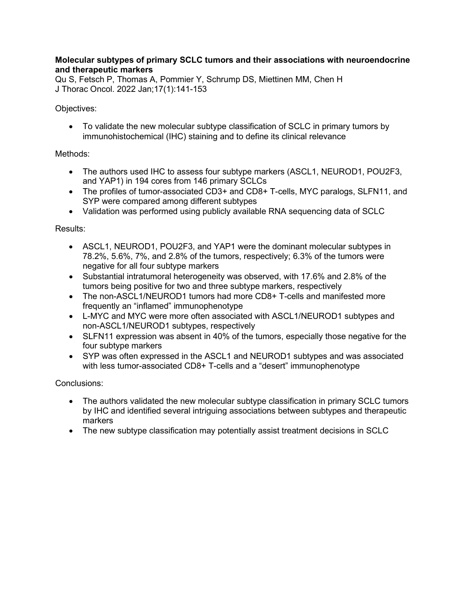## **Molecular subtypes of primary SCLC tumors and their associations with neuroendocrine and therapeutic markers**

Qu S, Fetsch P, Thomas A, Pommier Y, Schrump DS, Miettinen MM, Chen H J Thorac Oncol. 2022 Jan;17(1):141-153

## Objectives:

• To validate the new molecular subtype classification of SCLC in primary tumors by immunohistochemical (IHC) staining and to define its clinical relevance

# Methods:

- The authors used IHC to assess four subtype markers (ASCL1, NEUROD1, POU2F3, and YAP1) in 194 cores from 146 primary SCLCs
- The profiles of tumor-associated CD3+ and CD8+ T-cells, MYC paralogs, SLFN11, and SYP were compared among different subtypes
- Validation was performed using publicly available RNA sequencing data of SCLC

# Results:

- ASCL1, NEUROD1, POU2F3, and YAP1 were the dominant molecular subtypes in 78.2%, 5.6%, 7%, and 2.8% of the tumors, respectively; 6.3% of the tumors were negative for all four subtype markers
- Substantial intratumoral heterogeneity was observed, with 17.6% and 2.8% of the tumors being positive for two and three subtype markers, respectively
- The non-ASCL1/NEUROD1 tumors had more CD8+ T-cells and manifested more frequently an "inflamed" immunophenotype
- L-MYC and MYC were more often associated with ASCL1/NEUROD1 subtypes and non-ASCL1/NEUROD1 subtypes, respectively
- SLFN11 expression was absent in 40% of the tumors, especially those negative for the four subtype markers
- SYP was often expressed in the ASCL1 and NEUROD1 subtypes and was associated with less tumor-associated CD8+ T-cells and a "desert" immunophenotype

- The authors validated the new molecular subtype classification in primary SCLC tumors by IHC and identified several intriguing associations between subtypes and therapeutic markers
- The new subtype classification may potentially assist treatment decisions in SCLC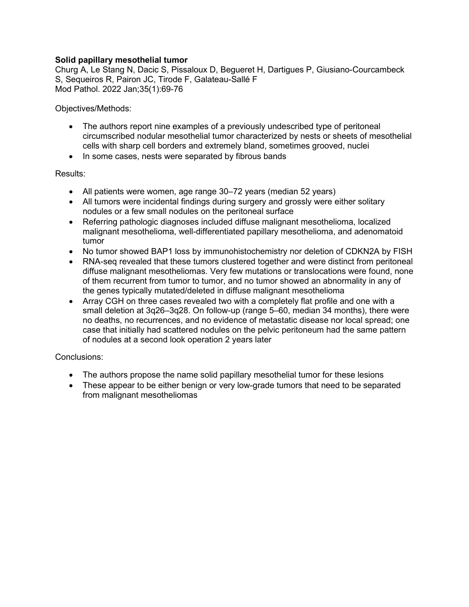## **Solid papillary mesothelial tumor**

Churg A, Le Stang N, Dacic S, Pissaloux D, Begueret H, Dartigues P, Giusiano-Courcambeck S, Sequeiros R, Pairon JC, Tirode F, Galateau-Sallé F Mod Pathol. 2022 Jan;35(1):69-76

Objectives/Methods:

- The authors report nine examples of a previously undescribed type of peritoneal circumscribed nodular mesothelial tumor characterized by nests or sheets of mesothelial cells with sharp cell borders and extremely bland, sometimes grooved, nuclei
- In some cases, nests were separated by fibrous bands

#### Results:

- All patients were women, age range 30–72 years (median 52 years)
- All tumors were incidental findings during surgery and grossly were either solitary nodules or a few small nodules on the peritoneal surface
- Referring pathologic diagnoses included diffuse malignant mesothelioma, localized malignant mesothelioma, well-differentiated papillary mesothelioma, and adenomatoid tumor
- No tumor showed BAP1 loss by immunohistochemistry nor deletion of CDKN2A by FISH
- RNA-seq revealed that these tumors clustered together and were distinct from peritoneal diffuse malignant mesotheliomas. Very few mutations or translocations were found, none of them recurrent from tumor to tumor, and no tumor showed an abnormality in any of the genes typically mutated/deleted in diffuse malignant mesothelioma
- Array CGH on three cases revealed two with a completely flat profile and one with a small deletion at 3q26–3q28. On follow-up (range 5–60, median 34 months), there were no deaths, no recurrences, and no evidence of metastatic disease nor local spread; one case that initially had scattered nodules on the pelvic peritoneum had the same pattern of nodules at a second look operation 2 years later

- The authors propose the name solid papillary mesothelial tumor for these lesions
- These appear to be either benign or very low-grade tumors that need to be separated from malignant mesotheliomas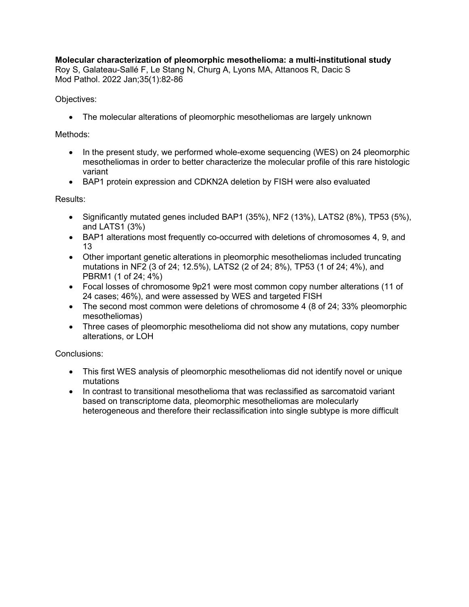# **Molecular characterization of pleomorphic mesothelioma: a multi-institutional study**

Roy S, Galateau-Sallé F, Le Stang N, Churg A, Lyons MA, Attanoos R, Dacic S Mod Pathol. 2022 Jan;35(1):82-86

## Objectives:

• The molecular alterations of pleomorphic mesotheliomas are largely unknown

# Methods:

- In the present study, we performed whole-exome sequencing (WES) on 24 pleomorphic mesotheliomas in order to better characterize the molecular profile of this rare histologic variant
- BAP1 protein expression and CDKN2A deletion by FISH were also evaluated

## Results:

- Significantly mutated genes included BAP1 (35%), NF2 (13%), LATS2 (8%), TP53 (5%), and LATS1 (3%)
- BAP1 alterations most frequently co-occurred with deletions of chromosomes 4, 9, and 13
- Other important genetic alterations in pleomorphic mesotheliomas included truncating mutations in NF2 (3 of 24; 12.5%), LATS2 (2 of 24; 8%), TP53 (1 of 24; 4%), and PBRM1 (1 of 24; 4%)
- Focal losses of chromosome 9p21 were most common copy number alterations (11 of 24 cases; 46%), and were assessed by WES and targeted FISH
- The second most common were deletions of chromosome 4 (8 of 24; 33% pleomorphic mesotheliomas)
- Three cases of pleomorphic mesothelioma did not show any mutations, copy number alterations, or LOH

- This first WES analysis of pleomorphic mesotheliomas did not identify novel or unique mutations
- In contrast to transitional mesothelioma that was reclassified as sarcomatoid variant based on transcriptome data, pleomorphic mesotheliomas are molecularly heterogeneous and therefore their reclassification into single subtype is more difficult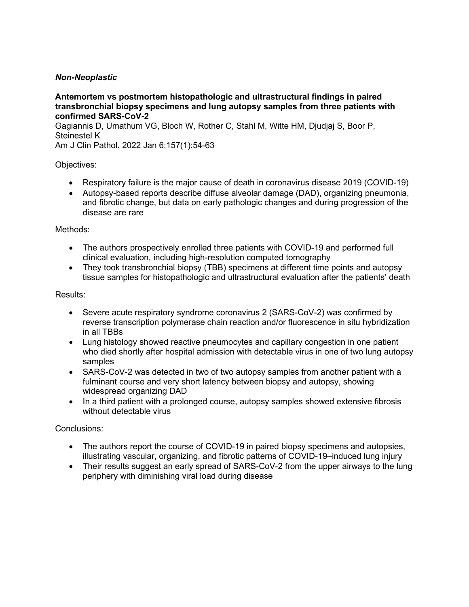# *Non-Neoplastic*

**Antemortem vs postmortem histopathologic and ultrastructural findings in paired transbronchial biopsy specimens and lung autopsy samples from three patients with confirmed SARS-CoV-2**

Gagiannis D, Umathum VG, Bloch W, Rother C, Stahl M, Witte HM, Djudjaj S, Boor P, Steinestel K

Am J Clin Pathol. 2022 Jan 6;157(1):54-63

#### Objectives:

- Respiratory failure is the major cause of death in coronavirus disease 2019 (COVID-19)
- Autopsy-based reports describe diffuse alveolar damage (DAD), organizing pneumonia, and fibrotic change, but data on early pathologic changes and during progression of the disease are rare

#### Methods:

- The authors prospectively enrolled three patients with COVID-19 and performed full clinical evaluation, including high-resolution computed tomography
- They took transbronchial biopsy (TBB) specimens at different time points and autopsy tissue samples for histopathologic and ultrastructural evaluation after the patients' death

#### Results:

- Severe acute respiratory syndrome coronavirus 2 (SARS-CoV-2) was confirmed by reverse transcription polymerase chain reaction and/or fluorescence in situ hybridization in all TBBs
- Lung histology showed reactive pneumocytes and capillary congestion in one patient who died shortly after hospital admission with detectable virus in one of two lung autopsy samples
- SARS-CoV-2 was detected in two of two autopsy samples from another patient with a fulminant course and very short latency between biopsy and autopsy, showing widespread organizing DAD
- In a third patient with a prolonged course, autopsy samples showed extensive fibrosis without detectable virus

- The authors report the course of COVID-19 in paired biopsy specimens and autopsies, illustrating vascular, organizing, and fibrotic patterns of COVID-19–induced lung injury
- Their results suggest an early spread of SARS-CoV-2 from the upper airways to the lung periphery with diminishing viral load during disease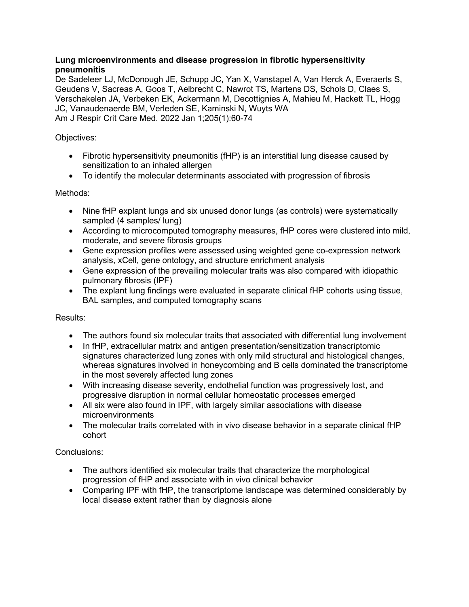## **Lung microenvironments and disease progression in fibrotic hypersensitivity pneumonitis**

De Sadeleer LJ, McDonough JE, Schupp JC, Yan X, Vanstapel A, Van Herck A, Everaerts S, Geudens V, Sacreas A, Goos T, Aelbrecht C, Nawrot TS, Martens DS, Schols D, Claes S, Verschakelen JA, Verbeken EK, Ackermann M, Decottignies A, Mahieu M, Hackett TL, Hogg JC, Vanaudenaerde BM, Verleden SE, Kaminski N, Wuyts WA Am J Respir Crit Care Med. 2022 Jan 1;205(1):60-74

Objectives:

- Fibrotic hypersensitivity pneumonitis (fHP) is an interstitial lung disease caused by sensitization to an inhaled allergen
- To identify the molecular determinants associated with progression of fibrosis

Methods:

- Nine fHP explant lungs and six unused donor lungs (as controls) were systematically sampled (4 samples/ lung)
- According to microcomputed tomography measures, fHP cores were clustered into mild, moderate, and severe fibrosis groups
- Gene expression profiles were assessed using weighted gene co-expression network analysis, xCell, gene ontology, and structure enrichment analysis
- Gene expression of the prevailing molecular traits was also compared with idiopathic pulmonary fibrosis (IPF)
- The explant lung findings were evaluated in separate clinical fHP cohorts using tissue, BAL samples, and computed tomography scans

Results:

- The authors found six molecular traits that associated with differential lung involvement
- In fHP, extracellular matrix and antigen presentation/sensitization transcriptomic signatures characterized lung zones with only mild structural and histological changes, whereas signatures involved in honeycombing and B cells dominated the transcriptome in the most severely affected lung zones
- With increasing disease severity, endothelial function was progressively lost, and progressive disruption in normal cellular homeostatic processes emerged
- All six were also found in IPF, with largely similar associations with disease microenvironments
- The molecular traits correlated with in vivo disease behavior in a separate clinical fHP cohort

- The authors identified six molecular traits that characterize the morphological progression of fHP and associate with in vivo clinical behavior
- Comparing IPF with fHP, the transcriptome landscape was determined considerably by local disease extent rather than by diagnosis alone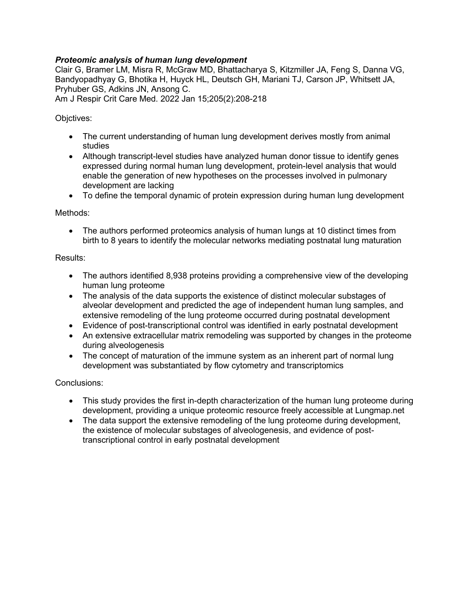# *Proteomic analysis of human lung development*

Clair G, Bramer LM, Misra R, McGraw MD, Bhattacharya S, Kitzmiller JA, Feng S, Danna VG, Bandyopadhyay G, Bhotika H, Huyck HL, Deutsch GH, Mariani TJ, Carson JP, Whitsett JA, Pryhuber GS, Adkins JN, Ansong C.

Am J Respir Crit Care Med. 2022 Jan 15;205(2):208-218

Objctives:

- The current understanding of human lung development derives mostly from animal studies
- Although transcript-level studies have analyzed human donor tissue to identify genes expressed during normal human lung development, protein-level analysis that would enable the generation of new hypotheses on the processes involved in pulmonary development are lacking
- To define the temporal dynamic of protein expression during human lung development

Methods:

• The authors performed proteomics analysis of human lungs at 10 distinct times from birth to 8 years to identify the molecular networks mediating postnatal lung maturation

#### Results:

- The authors identified 8,938 proteins providing a comprehensive view of the developing human lung proteome
- The analysis of the data supports the existence of distinct molecular substages of alveolar development and predicted the age of independent human lung samples, and extensive remodeling of the lung proteome occurred during postnatal development
- Evidence of post-transcriptional control was identified in early postnatal development
- An extensive extracellular matrix remodeling was supported by changes in the proteome during alveologenesis
- The concept of maturation of the immune system as an inherent part of normal lung development was substantiated by flow cytometry and transcriptomics

- This study provides the first in-depth characterization of the human lung proteome during development, providing a unique proteomic resource freely accessible at Lungmap.net
- The data support the extensive remodeling of the lung proteome during development, the existence of molecular substages of alveologenesis, and evidence of posttranscriptional control in early postnatal development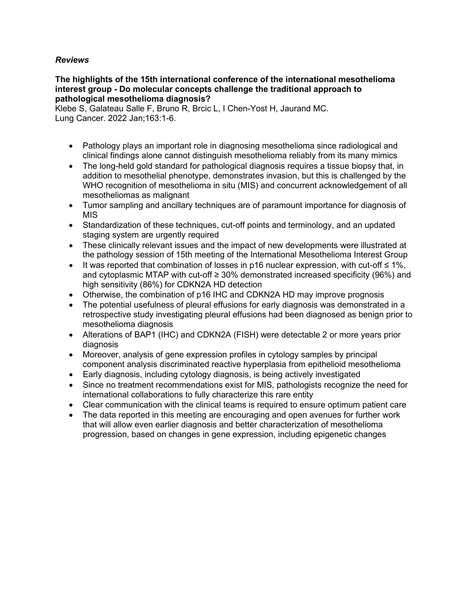# *Reviews*

#### **The highlights of the 15th international conference of the international mesothelioma interest group - Do molecular concepts challenge the traditional approach to pathological mesothelioma diagnosis?**

Klebe S, Galateau Salle F, Bruno R, Brcic L, I Chen-Yost H, Jaurand MC. Lung Cancer. 2022 Jan;163:1-6.

- Pathology plays an important role in diagnosing mesothelioma since radiological and clinical findings alone cannot distinguish mesothelioma reliably from its many mimics
- The long-held gold standard for pathological diagnosis requires a tissue biopsy that, in addition to mesothelial phenotype, demonstrates invasion, but this is challenged by the WHO recognition of mesothelioma in situ (MIS) and concurrent acknowledgement of all mesotheliomas as malignant
- Tumor sampling and ancillary techniques are of paramount importance for diagnosis of MIS
- Standardization of these techniques, cut-off points and terminology, and an updated staging system are urgently required
- These clinically relevant issues and the impact of new developments were illustrated at the pathology session of 15th meeting of the International Mesothelioma Interest Group
- It was reported that combination of losses in p16 nuclear expression, with cut-off ≤ 1%, and cytoplasmic MTAP with cut-off ≥ 30% demonstrated increased specificity (96%) and high sensitivity (86%) for CDKN2A HD detection
- Otherwise, the combination of p16 IHC and CDKN2A HD may improve prognosis
- The potential usefulness of pleural effusions for early diagnosis was demonstrated in a retrospective study investigating pleural effusions had been diagnosed as benign prior to mesothelioma diagnosis
- Alterations of BAP1 (IHC) and CDKN2A (FISH) were detectable 2 or more years prior diagnosis
- Moreover, analysis of gene expression profiles in cytology samples by principal component analysis discriminated reactive hyperplasia from epithelioid mesothelioma
- Early diagnosis, including cytology diagnosis, is being actively investigated
- Since no treatment recommendations exist for MIS, pathologists recognize the need for international collaborations to fully characterize this rare entity
- Clear communication with the clinical teams is required to ensure optimum patient care
- The data reported in this meeting are encouraging and open avenues for further work that will allow even earlier diagnosis and better characterization of mesothelioma progression, based on changes in gene expression, including epigenetic changes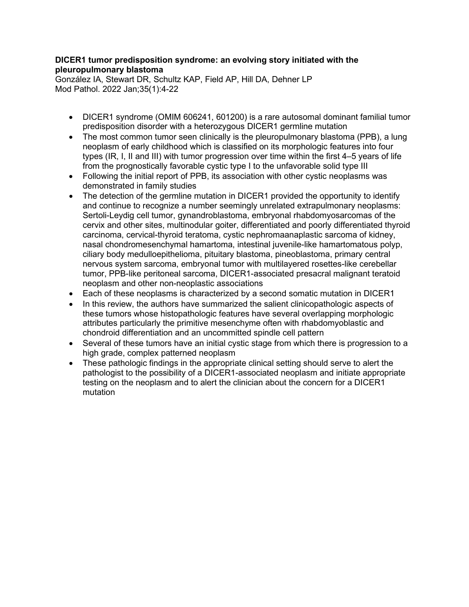# **DICER1 tumor predisposition syndrome: an evolving story initiated with the pleuropulmonary blastoma**

González IA, Stewart DR, Schultz KAP, Field AP, Hill DA, Dehner LP Mod Pathol. 2022 Jan;35(1):4-22

- DICER1 syndrome (OMIM 606241, 601200) is a rare autosomal dominant familial tumor predisposition disorder with a heterozygous DICER1 germline mutation
- The most common tumor seen clinically is the pleuropulmonary blastoma (PPB), a lung neoplasm of early childhood which is classified on its morphologic features into four types (IR, I, II and III) with tumor progression over time within the first 4–5 years of life from the prognostically favorable cystic type I to the unfavorable solid type III
- Following the initial report of PPB, its association with other cystic neoplasms was demonstrated in family studies
- The detection of the germline mutation in DICER1 provided the opportunity to identify and continue to recognize a number seemingly unrelated extrapulmonary neoplasms: Sertoli-Leydig cell tumor, gynandroblastoma, embryonal rhabdomyosarcomas of the cervix and other sites, multinodular goiter, differentiated and poorly differentiated thyroid carcinoma, cervical-thyroid teratoma, cystic nephromaanaplastic sarcoma of kidney, nasal chondromesenchymal hamartoma, intestinal juvenile-like hamartomatous polyp, ciliary body medulloepithelioma, pituitary blastoma, pineoblastoma, primary central nervous system sarcoma, embryonal tumor with multilayered rosettes-like cerebellar tumor, PPB-like peritoneal sarcoma, DICER1-associated presacral malignant teratoid neoplasm and other non-neoplastic associations
- Each of these neoplasms is characterized by a second somatic mutation in DICER1
- In this review, the authors have summarized the salient clinicopathologic aspects of these tumors whose histopathologic features have several overlapping morphologic attributes particularly the primitive mesenchyme often with rhabdomyoblastic and chondroid differentiation and an uncommitted spindle cell pattern
- Several of these tumors have an initial cystic stage from which there is progression to a high grade, complex patterned neoplasm
- These pathologic findings in the appropriate clinical setting should serve to alert the pathologist to the possibility of a DICER1-associated neoplasm and initiate appropriate testing on the neoplasm and to alert the clinician about the concern for a DICER1 mutation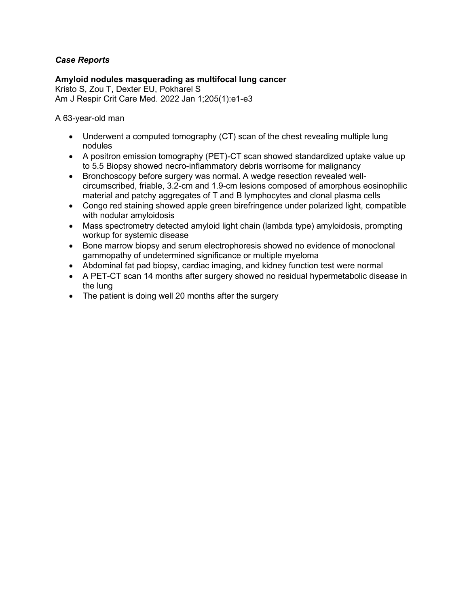# *Case Reports*

**Amyloid nodules masquerading as multifocal lung cancer** Kristo S, Zou T, Dexter EU, Pokharel S Am J Respir Crit Care Med. 2022 Jan 1;205(1):e1-e3

A 63-year-old man

- Underwent a computed tomography (CT) scan of the chest revealing multiple lung nodules
- A positron emission tomography (PET)-CT scan showed standardized uptake value up to 5.5 Biopsy showed necro-inflammatory debris worrisome for malignancy
- Bronchoscopy before surgery was normal. A wedge resection revealed wellcircumscribed, friable, 3.2-cm and 1.9-cm lesions composed of amorphous eosinophilic material and patchy aggregates of T and B lymphocytes and clonal plasma cells
- Congo red staining showed apple green birefringence under polarized light, compatible with nodular amyloidosis
- Mass spectrometry detected amyloid light chain (lambda type) amyloidosis, prompting workup for systemic disease
- Bone marrow biopsy and serum electrophoresis showed no evidence of monoclonal gammopathy of undetermined significance or multiple myeloma
- Abdominal fat pad biopsy, cardiac imaging, and kidney function test were normal
- A PET-CT scan 14 months after surgery showed no residual hypermetabolic disease in the lung
- The patient is doing well 20 months after the surgery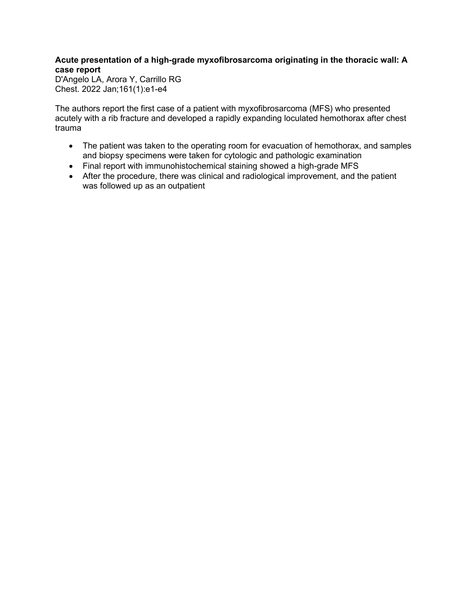# **Acute presentation of a high-grade myxofibrosarcoma originating in the thoracic wall: A case report**

D'Angelo LA, Arora Y, Carrillo RG Chest. 2022 Jan;161(1):e1-e4

The authors report the first case of a patient with myxofibrosarcoma (MFS) who presented acutely with a rib fracture and developed a rapidly expanding loculated hemothorax after chest trauma

- The patient was taken to the operating room for evacuation of hemothorax, and samples and biopsy specimens were taken for cytologic and pathologic examination
- Final report with immunohistochemical staining showed a high-grade MFS
- After the procedure, there was clinical and radiological improvement, and the patient was followed up as an outpatient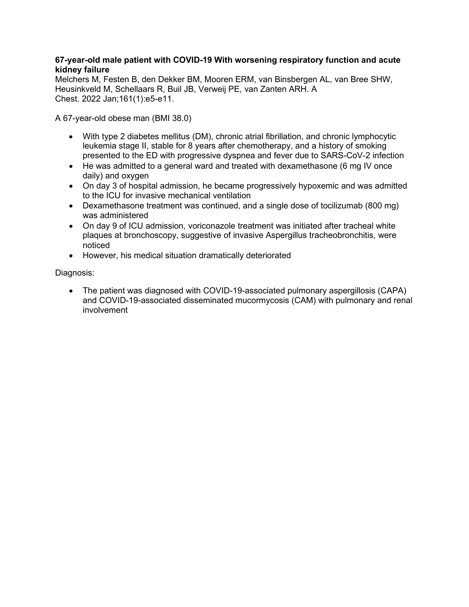## **67-year-old male patient with COVID-19 With worsening respiratory function and acute kidney failure**

Melchers M, Festen B, den Dekker BM, Mooren ERM, van Binsbergen AL, van Bree SHW, Heusinkveld M, Schellaars R, Buil JB, Verweij PE, van Zanten ARH. A Chest. 2022 Jan;161(1):e5-e11.

A 67-year-old obese man (BMI 38.0)

- With type 2 diabetes mellitus (DM), chronic atrial fibrillation, and chronic lymphocytic leukemia stage II, stable for 8 years after chemotherapy, and a history of smoking presented to the ED with progressive dyspnea and fever due to SARS-CoV-2 infection
- He was admitted to a general ward and treated with dexamethasone (6 mg IV once daily) and oxygen
- On day 3 of hospital admission, he became progressively hypoxemic and was admitted to the ICU for invasive mechanical ventilation
- Dexamethasone treatment was continued, and a single dose of tocilizumab (800 mg) was administered
- On day 9 of ICU admission, voriconazole treatment was initiated after tracheal white plaques at bronchoscopy, suggestive of invasive Aspergillus tracheobronchitis, were noticed
- However, his medical situation dramatically deteriorated

Diagnosis:

• The patient was diagnosed with COVID-19-associated pulmonary aspergillosis (CAPA) and COVID-19-associated disseminated mucormycosis (CAM) with pulmonary and renal involvement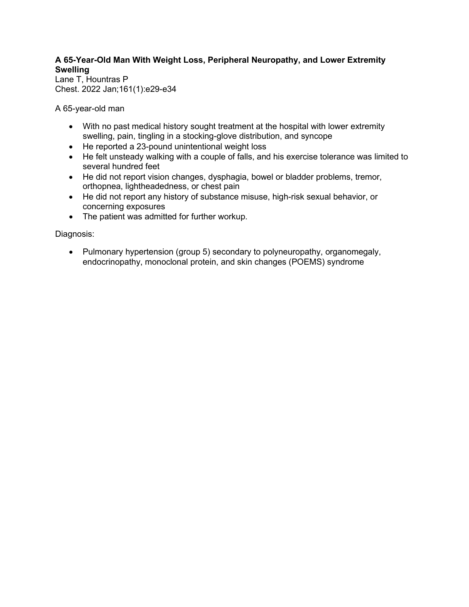# **A 65-Year-Old Man With Weight Loss, Peripheral Neuropathy, and Lower Extremity Swelling**

Lane T, Hountras P Chest. 2022 Jan;161(1):e29-e34

A 65-year-old man

- With no past medical history sought treatment at the hospital with lower extremity swelling, pain, tingling in a stocking-glove distribution, and syncope
- He reported a 23-pound unintentional weight loss
- He felt unsteady walking with a couple of falls, and his exercise tolerance was limited to several hundred feet
- He did not report vision changes, dysphagia, bowel or bladder problems, tremor, orthopnea, lightheadedness, or chest pain
- He did not report any history of substance misuse, high-risk sexual behavior, or concerning exposures
- The patient was admitted for further workup.

Diagnosis:

• Pulmonary hypertension (group 5) secondary to polyneuropathy, organomegaly, endocrinopathy, monoclonal protein, and skin changes (POEMS) syndrome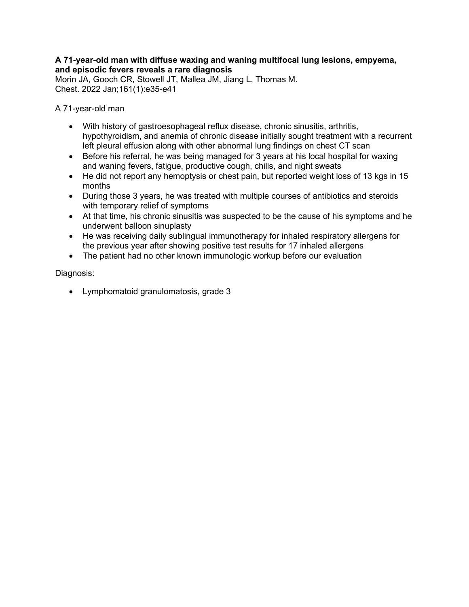#### **A 71-year-old man with diffuse waxing and waning multifocal lung lesions, empyema, and episodic fevers reveals a rare diagnosis**

Morin JA, Gooch CR, Stowell JT, Mallea JM, Jiang L, Thomas M. Chest. 2022 Jan;161(1):e35-e41

A 71-year-old man

- With history of gastroesophageal reflux disease, chronic sinusitis, arthritis, hypothyroidism, and anemia of chronic disease initially sought treatment with a recurrent left pleural effusion along with other abnormal lung findings on chest CT scan
- Before his referral, he was being managed for 3 years at his local hospital for waxing and waning fevers, fatigue, productive cough, chills, and night sweats
- He did not report any hemoptysis or chest pain, but reported weight loss of 13 kgs in 15 months
- During those 3 years, he was treated with multiple courses of antibiotics and steroids with temporary relief of symptoms
- At that time, his chronic sinusitis was suspected to be the cause of his symptoms and he underwent balloon sinuplasty
- He was receiving daily sublingual immunotherapy for inhaled respiratory allergens for the previous year after showing positive test results for 17 inhaled allergens
- The patient had no other known immunologic workup before our evaluation

Diagnosis:

• Lymphomatoid granulomatosis, grade 3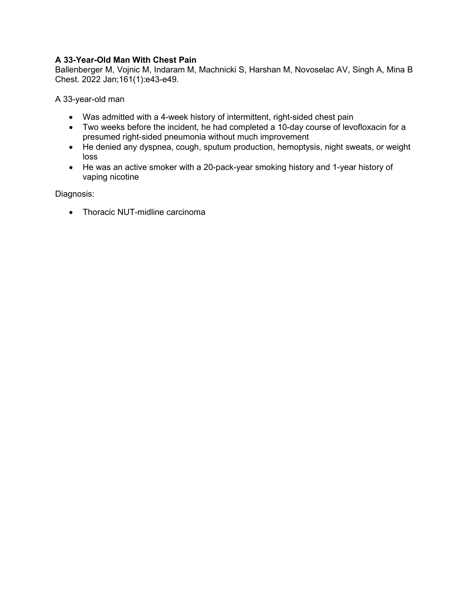# **A 33-Year-Old Man With Chest Pain**

Ballenberger M, Vojnic M, Indaram M, Machnicki S, Harshan M, Novoselac AV, Singh A, Mina B Chest. 2022 Jan;161(1):e43-e49.

A 33-year-old man

- Was admitted with a 4-week history of intermittent, right-sided chest pain
- Two weeks before the incident, he had completed a 10-day course of levofloxacin for a presumed right-sided pneumonia without much improvement
- He denied any dyspnea, cough, sputum production, hemoptysis, night sweats, or weight loss
- He was an active smoker with a 20-pack-year smoking history and 1-year history of vaping nicotine

Diagnosis:

• Thoracic NUT-midline carcinoma